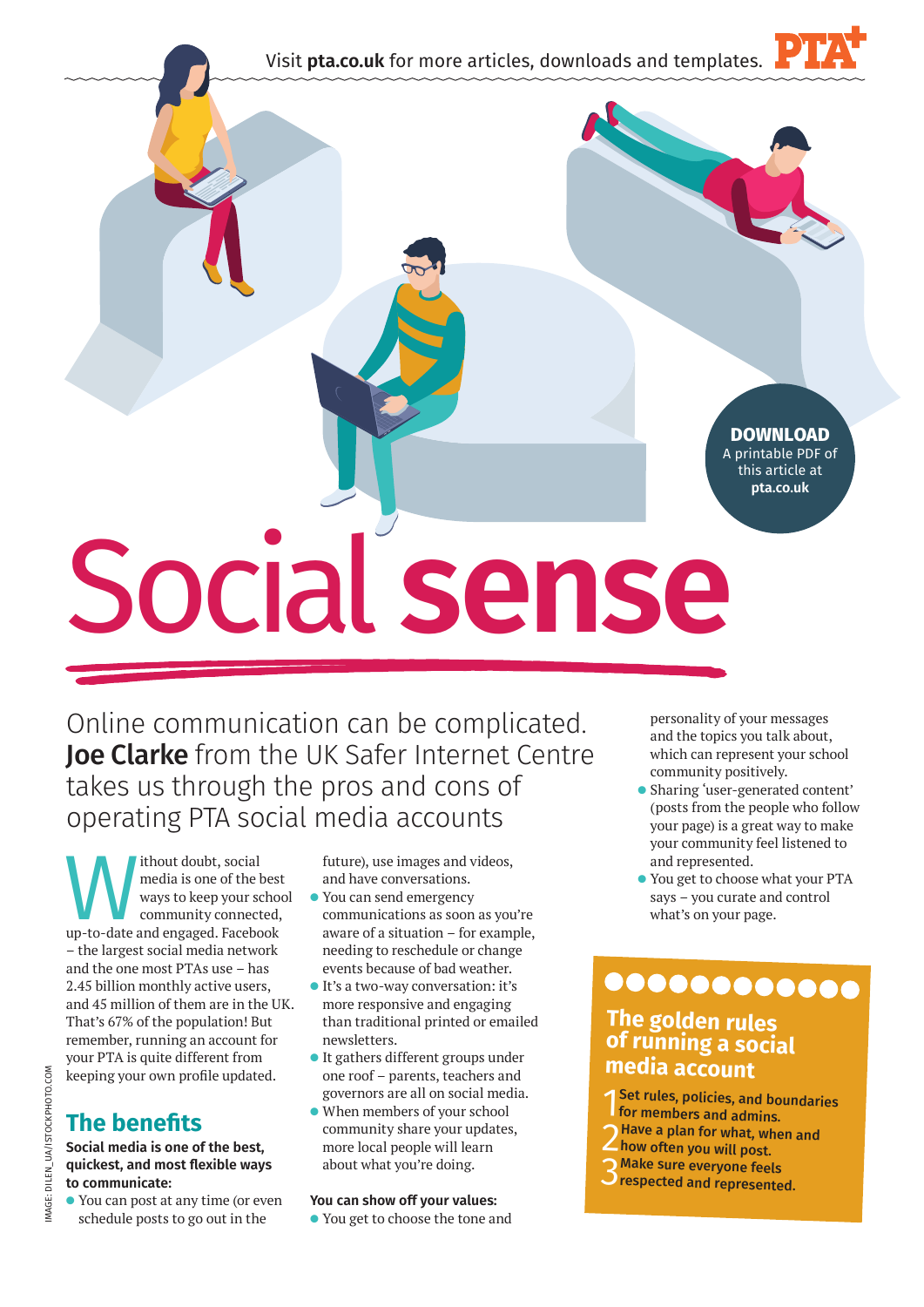Visit **pta.co.uk** for more articles, downloads and templates.



**DOWNLOAD** A printable PDF of this article at **pta.co.uk**

# Social **sense**

Online communication can be complicated. Joe Clarke from the UK Safer Internet Centre takes us through the pros and cons of operating PTA social media accounts

Without doubt, social<br>
media is one of the best<br>
ways to keep your school<br>
community connected,<br>
up-to-date and engaged. Facebook media is one of the best ways to keep your school community connected, – the largest social media network and the one most PTAs use – has 2.45 billion monthly active users, and 45 million of them are in the UK. That's 67% of the population! But remember, running an account for your PTA is quite different from keeping your own profile updated.

# **The benefits**

#### **Social media is one of the best, quickest, and most flexible ways to communicate:**

l You can post at any time (or even schedule posts to go out in the

future), use images and videos, and have conversations.

- You can send emergency communications as soon as you're aware of a situation – for example, needing to reschedule or change events because of bad weather.
- l It's a two-way conversation: it's more responsive and engaging than traditional printed or emailed newsletters.
- It gathers different groups under one roof – parents, teachers and governors are all on social media.
- When members of your school community share your updates, more local people will learn about what you're doing.

#### **You can show off your values:**

l You get to choose the tone and

personality of your messages and the topics you talk about, which can represent your school community positively.

- l Sharing 'user-generated content' (posts from the people who follow your page) is a great way to make your community feel listened to and represented.
- l You get to choose what your PTA says – you curate and control what's on your page.

# 000000000000

## **The golden rules of running a social media account**

- 1 Set rules, policies, and boundaries for members and admins.
- 2Have a plan for what, when and
- how often you will post.
	- 3Make sure everyone feels
	- **Prespected and represented.**